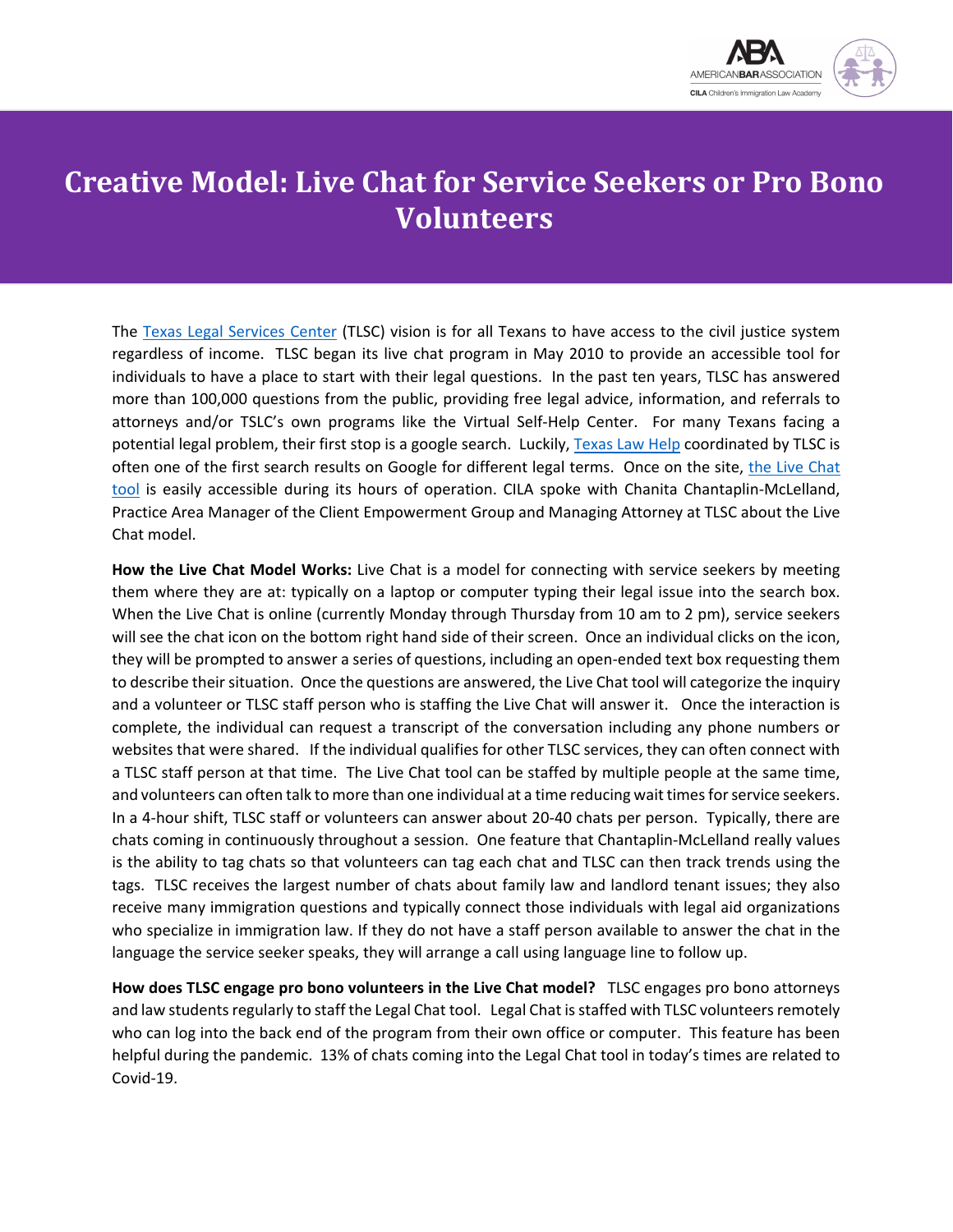

## **Creative Model: Live Chat for Service Seekers or Pro Bono Volunteers**

The [Texas Legal Services](https://www.tlsc.org/) Center (TLSC) vision is for all Texans to have access to the civil justice system regardless of income. TLSC began its live chat program in May 2010 to provide an accessible tool for individuals to have a place to start with their legal questions. In the past ten years, TLSC has answered more than 100,000 questions from the public, providing free legal advice, information, and referrals to attorneys and/or TSLC's own programs like the Virtual Self-Help Center. For many Texans facing a potential legal problem, their first stop is a google search. Luckily, [Texas Law Help](https://texaslawhelp.org/) coordinated by TLSC is often one of the first search results on Google for different legal terms. Once on the site, [the Live Chat](https://texaslawhelp.org/node/192)  [tool](https://texaslawhelp.org/node/192) is easily accessible during its hours of operation. CILA spoke with Chanita Chantaplin-McLelland, Practice Area Manager of the Client Empowerment Group and Managing Attorney at TLSC about the Live Chat model.

**How the Live Chat Model Works:** Live Chat is a model for connecting with service seekers by meeting them where they are at: typically on a laptop or computer typing their legal issue into the search box. When the Live Chat is online (currently Monday through Thursday from 10 am to 2 pm), service seekers will see the chat icon on the bottom right hand side of their screen. Once an individual clicks on the icon, they will be prompted to answer a series of questions, including an open-ended text box requesting them to describe their situation. Once the questions are answered, the Live Chat tool will categorize the inquiry and a volunteer or TLSC staff person who is staffing the Live Chat will answer it. Once the interaction is complete, the individual can request a transcript of the conversation including any phone numbers or websites that were shared. If the individual qualifies for other TLSC services, they can often connect with a TLSC staff person at that time. The Live Chat tool can be staffed by multiple people at the same time, and volunteers can often talk to more than one individual at a time reducing wait times for service seekers. In a 4-hour shift, TLSC staff or volunteers can answer about 20-40 chats per person. Typically, there are chats coming in continuously throughout a session. One feature that Chantaplin-McLelland really values is the ability to tag chats so that volunteers can tag each chat and TLSC can then track trends using the tags. TLSC receives the largest number of chats about family law and landlord tenant issues; they also receive many immigration questions and typically connect those individuals with legal aid organizations who specialize in immigration law. If they do not have a staff person available to answer the chat in the language the service seeker speaks, they will arrange a call using language line to follow up.

**How does TLSC engage pro bono volunteers in the Live Chat model?** TLSC engages pro bono attorneys and law students regularly to staff the Legal Chat tool. Legal Chat is staffed with TLSC volunteers remotely who can log into the back end of the program from their own office or computer. This feature has been helpful during the pandemic. 13% of chats coming into the Legal Chat tool in today's times are related to Covid-19.